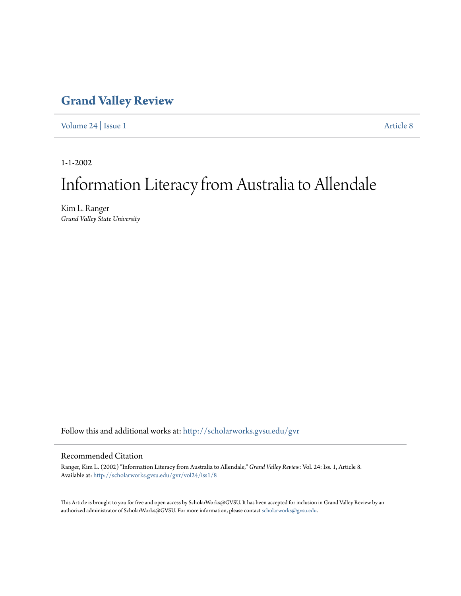## **[Grand Valley Review](http://scholarworks.gvsu.edu/gvr?utm_source=scholarworks.gvsu.edu%2Fgvr%2Fvol24%2Fiss1%2F8&utm_medium=PDF&utm_campaign=PDFCoverPages)**

[Volume 24](http://scholarworks.gvsu.edu/gvr/vol24?utm_source=scholarworks.gvsu.edu%2Fgvr%2Fvol24%2Fiss1%2F8&utm_medium=PDF&utm_campaign=PDFCoverPages) | [Issue 1](http://scholarworks.gvsu.edu/gvr/vol24/iss1?utm_source=scholarworks.gvsu.edu%2Fgvr%2Fvol24%2Fiss1%2F8&utm_medium=PDF&utm_campaign=PDFCoverPages) [Article 8](http://scholarworks.gvsu.edu/gvr/vol24/iss1/8?utm_source=scholarworks.gvsu.edu%2Fgvr%2Fvol24%2Fiss1%2F8&utm_medium=PDF&utm_campaign=PDFCoverPages)

1-1-2002

# Information Literacy from Australia to Allendale

Kim L. Ranger *Grand Valley State University*

Follow this and additional works at: [http://scholarworks.gvsu.edu/gvr](http://scholarworks.gvsu.edu/gvr?utm_source=scholarworks.gvsu.edu%2Fgvr%2Fvol24%2Fiss1%2F8&utm_medium=PDF&utm_campaign=PDFCoverPages)

#### Recommended Citation

Ranger, Kim L. (2002) "Information Literacy from Australia to Allendale," *Grand Valley Review*: Vol. 24: Iss. 1, Article 8. Available at: [http://scholarworks.gvsu.edu/gvr/vol24/iss1/8](http://scholarworks.gvsu.edu/gvr/vol24/iss1/8?utm_source=scholarworks.gvsu.edu%2Fgvr%2Fvol24%2Fiss1%2F8&utm_medium=PDF&utm_campaign=PDFCoverPages)

This Article is brought to you for free and open access by ScholarWorks@GVSU. It has been accepted for inclusion in Grand Valley Review by an authorized administrator of ScholarWorks@GVSU. For more information, please contact [scholarworks@gvsu.edu.](mailto:scholarworks@gvsu.edu)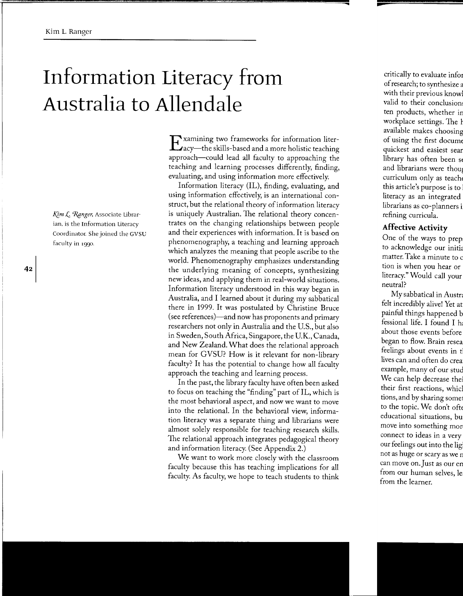# **Information Literacy from Australia to Allendale**

*Kim L. Ranger, Associate Librar*ian. is the Information Literacy Coordinator. She joined the GVSU faculty in rggo.

Examining two frameworks for information liter-acy-the skills-based and a more holistic teaching approach-could lead all faculty to approaching the teaching and learning processes differently, finding, evaluating, and using information more effectively.

Information literacy (IL), finding, evaluating, and using information effectively, is an international construct, but the relational theory of information literacy is uniquely Australian. The relational theory concentrates on the changing relationships between people and their experiences with information. It is based on phenomenography, a teaching and learning approach which analyzes the meaning that people ascribe to the world. Phenomenography emphasizes understanding the underlying meaning of concepts, synthesizing new ideas, and applying them in real-world situations. Information literacy understood in this way began in Australia, and I learned about it during my sabbatical there in 1999. It was postulated by Christine Bruce (see references)-and now has proponents and primary researchers not only in Australia and the U.S., but also in Sweden, South Africa, Singapore, the U.K., Canada, and New Zealand. What does the relational approach mean for GVSU? How is it relevant for non-library faculty? It has the potential to change how all faculty approach the teaching and learning process.

In the past, the library faculty have often been asked to focus on teaching the "finding" part of IL, which is the most behavioral aspect, and now we want to move into the relational. In the behavioral view, information literacy was a separate thing and librarians were almost solely responsible for teaching research skills. The relational approach integrates pedagogical theory and information literacy. (See Appendix 2.)

We want to work more closely with the classroom faculty because this has teaching implications for all faculty. As faculty, we hope to teach students to think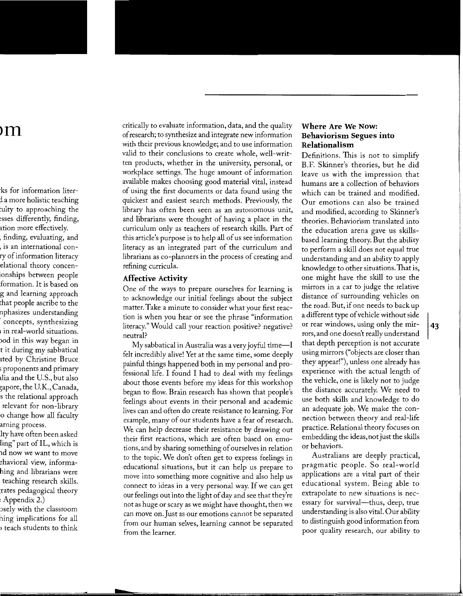critically to evaluate information, data, and the quality of research; to synthesize and integrate new information with their previous knowledge; and to use information valid to their conclusions to create whole, well-written products, whether in the university, personal, or workplace settings. The huge amount of information available makes choosing good material vital, instead of using the first documents or data found using the quickest and easiest search methods. Previously, the library has often been seen as an autonomous unit, and librarians were thought of having a place in the curriculum only as teachers of research skills. Part of this article's purpose is to help all of us see information literacy as an integrated part of the curriculum and librarians as co-planners in the process of creating and refining curricula.

#### **Affective Activity**

One of the ways to prepare ourselves for learning is to acknowledge our initial feelings about the subject matter. Take a minute to consider what your first reaction is when you hear or see the phrase "information literacy." Would call your reaction positive? negative? neutral?

 $My$  sabbatical in Australia was a very joyful time— $I$ felt incredibly alive! Yet at the same time, some deeply painful things happened both in my personal and professional life. I found I had to deal with my feelings about those events before my ideas for this workshop began to flow. Brain research has shown that people's feelings about events in their personal and academic lives can and often do create resistance to learning. For example, many of our students have a fear of research. We can help decrease their resistance by drawing out their first reactions, which are often based on emotions, and by sharing something of ourselves in relation to the topic. We don't often get to express feelings in educational situations, but it can help us prepare to move into something more cognitive and also help us connect to ideas in a very personal way. If we can get our feelings out into the light of day and see that they're not as huge or scary as we might have thought, then we can move on. Just as our emotions cannot be separated from our human selves, learning cannot be separated from the learner.

#### **Where Are We Now: Behaviorism Segues into Relationalism**

Definitions. This is not to simplifY B.F. Skinner's theories, but he did leave us with the impression that humans are a collection of behaviors which can be trained and modified. Our emotions can also be trained and modified, according to Skinner's theories. Behaviorism translated into the education arena gave us skillsbased learning theory. But the ability to perform a skill does not equal true understanding and an ability to apply knowledge to other situations. That is, one might have the skill to use the mirrors in a car to judge the relative distance of surrounding vehicles on the road. But, if one needs to back up a different type of vehicle without side or rear windows, using only the mirrors, and one doesn't really understand that depth perception is not accurate using mirrors ("objects are closer than they appear!"), unless one already has experience with the actual length of the vehicle, one is likely not to judge the distance accurately. We need to use both skills and knowledge to do an adequate job. We make the connection between theory and real-life practice. Relational theory focuses on embedding the ideas, not just the skills or behaviors.

Australians are deeply practical, pragmatic people. So real-world applications are a vital part of their educational system. Being able to extrapolate to new situations is necessary for survival-thus, deep, true understanding is also vital. Our ability to distinguish good information from poor quality research, our ability to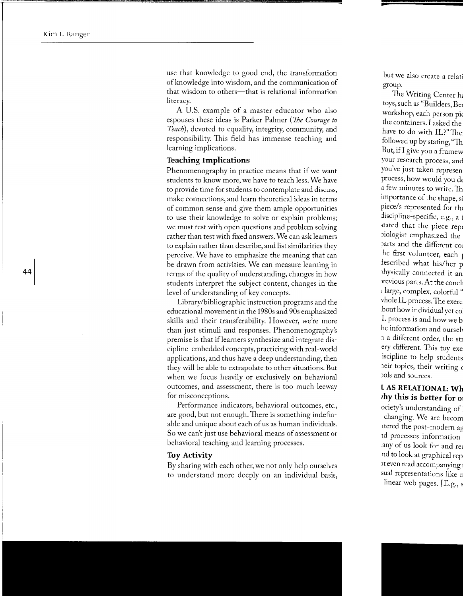use that knowledge to good end, the transformation of knowledge into wisdom, and the communication of that wisdom to others—that is relational information literacy.

A U.S. example of a master educator who also espouses these ideas is Parker Palmer ( *1he Courage to Teach),* devoted to equality, integrity, community, and responsibility. This field has immense teaching and learning implications.

#### **Teaching Implications**

Phenomenography in practice means that if we want students to know more, we have to teach less. We have to provide time for students to contemplate and discuss, make connections, and learn theoretical ideas in terms of common sense and give them ample opportunities to use their knowledge to solve or explain problems; we must test with open questions and problem solving rather than test with fixed answers. We can ask learners to explain rather than describe, and list similarities they perceive. We have to emphasize the meaning that can be drawn from activities. We can measure learning in terms of the quality of understanding, changes in how students interpret the subject content, changes in the level of understanding of key concepts.

Library/bibliographic instruction programs and the educational movement in the 1980s and 90s emphasized skills and their transferability. However, we're more than just stimuli and responses. Phenomenography's premise is that iflearners synthesize and integrate discipline-embedded concepts, practicing with real-world applications, and thus have a deep understanding, then they will be able to extrapolate to other situations. But when we focus heavily or exclusively on behavioral outcomes, and assessment, there is too much leeway for misconceptions.

Performance indicators, behavioral outcomes, etc., are good, but not enough. There is something indefinable and unique about each of us as human individuals. So we can't just use behavioral means of assessment or behavioral teaching and learning processes.

#### **Toy Activity**

By sharing with each other, we not only help ourselves to understand more deeply on an individual basis,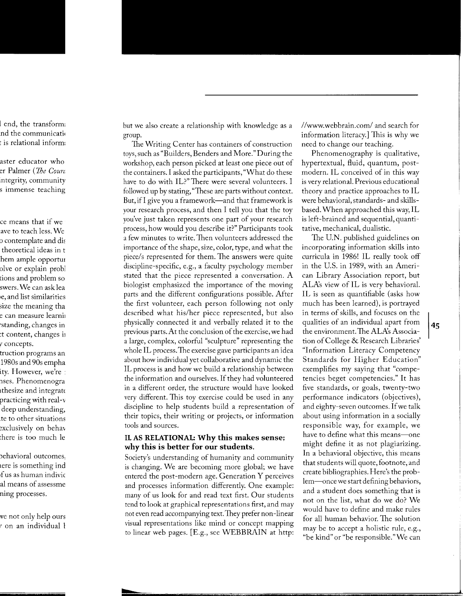but we also create a relationship with knowledge as a group.

The Writing Center has containers of construction toys, such as "Builders, Benders and More." During the workshop, each person picked at least one piece out of the containers. I asked the participants, "What do these have to do with IL?" There were several volunteers. I followed up by stating, "These are parts without context. But, if I give you a framework—and that framework is your research process, and then I tell you that the toy you've just taken represents one part of your research process, how would you describe it?" Participants took a few minutes to write. Then volunteers addressed the importance of the shape, size, color, type, and what the piece/s represented for them. The answers were quite discipline-specific, e.g., a faculty psychology member stated that the piece represented a conversation. A biologist emphasized the importance of the moving parts and the different configurations possible. After the first volunteer, each person following not only described what his/her piece represented, but also physically connected it and verbally related it to the previous parts. At the conclusion of the exercise, we had a large, complex, colorful "sculpture" representing the whole IL process. The exercise gave participants an idea about how individual yet collaborative and dynamic the IL process is and how we build a relationship between the information and ourselves. If they had volunteered in a different order, the structure would have looked very different. This toy exercise could be used in any discipline to help students build a representation of their topics, their writing or projects, or information tools and sources.

#### **IL AS RELATIONAL: Why this makes sense; why this is better for our students.**

Society's understanding of humanity and community is changing. We are becoming more global; we have entered the post-modern age. Generation Y perceives and processes information differently. One example: many of us look for and read text first. Our students tend to look at graphical representations first, and may not even read accompanying text. They prefer non-linear visual representations like mind or concept mapping to linear web pages. [E.g., see WEBBRAIN at http:

//www.webbrain.com/ and search for information literacy.] This is why we need to change our teaching.

Phenomenography is qualitative, hypertextual, fluid, quantum, postmodern. IL conceived of in this way is very relational. Previous educational theory and practice approaches to IL were behavioral, standards- and skillsbased. When approached this way, IL is left-brained and sequential, quantitative, mechanical, dualistic.

The U.N. published guidelines on incorporating information skills into curricula in 1986! IL really took off in the U.S. in 1989, with an American Library Association report, but ALA's view of IL is very behavioral. IL is seen as quantifiable (asks how much has been learned), is portrayed in terms of skills, and focuses on the qualities of an individual apart from the environment. The ALA's Association of College & Research Libraries' "Information Literacy Competency Standards for Higher Education" exemplifies my saying that "competencies beget competencies." It has five standards, or goals, twenty-two performance indicators (objectives), and eighty-seven outcomes. If we talk about using information in a socially responsible way, for example, we have to define what this means-one might define it as not plagiarizing. In a behavioral objective, this means that students will quote, footnote, and create bibliographies. Here's the problem-once we start defining behaviors, and a student does something that is not on the list, what do we do? We would have to define and make rules for all human behavior. The solution may be to accept a holistic rule, e.g., "be kind" or "be responsible." We can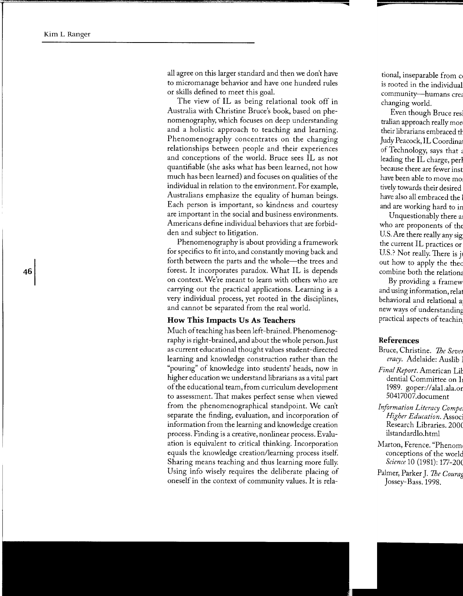all agree on this larger standard and then we don't have to micromanage behavior and have one hundred rules or skills defined to meet this goal.

The view of IL as being relational took off in Australia with Christine Bruce's book, based on phenomenography, which focuses on deep understanding and a holistic approach to teaching and learning. Phenomenography concentrates on the changing relationships between people and their experiences and conceptions of the world. Bruce sees IL as not quantifiable (she asks what has been learned, not how much has been learned) and focuses on qualities of the individual in relation to the environment. For example, Australians emphasize the equality of human beings. Each person is important, so kindness and courtesy are important in the social and business environments. Americans define individual behaviors that are forbidden and subject to litigation.

Phenomenography is about providing a framework for specifics to fit into, and constantly moving back and forth between the parts and the whole-the trees and forest. It incorporates paradox. What IL is depends on context. We're meant to learn with others who are carrying out the practical applications. Learning is a very individual process, yet rooted in the disciplines, and cannot be separated from the real world.

#### **How This Impacts** Us As **Teachers**

Much of teaching has been left-brained. Phenomenography is right-brained, and about the whole person. Just as current educational thought values student-directed learning and knowledge construction rather than the "pouring" of knowledge into students' heads, now in higher education we understand librarians as a vital part of the educational team, from curriculum development to assessment. That makes perfect sense when viewed from the phenomenographical standpoint. We can't separate the finding, evaluation, and incorporation of information from the learning and knowledge creation process. Finding is a creative, nonlinear process. Evaluation is equivalent to critical thinking. Incorporation equals the knowledge creation/learning process itself. Sharing means teaching and thus learning more fully. Using info wisely requires the deliberate placing of oneself in the context of community values. It is rela-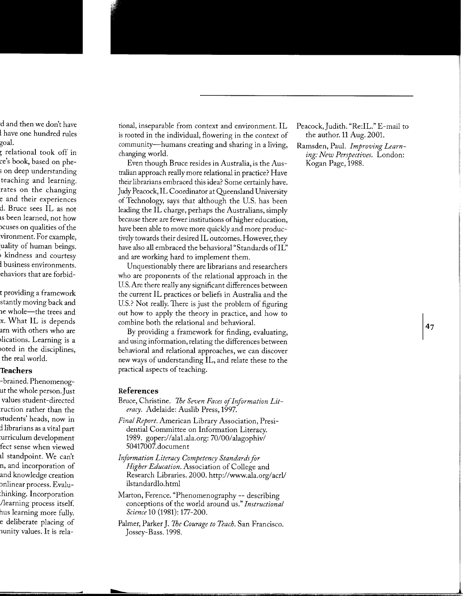tional, inseparable from context and environment. IL is rooted in the individual, flowering in the context of community-humans creating and sharing in a living, changing world.

Even though Bruce resides in Australia, is the Australian approach really more relational in practice? Have their librarians embraced this idea? Some certainly have. Judy Peacock, IL Coordinator at Queensland University ofTechnology, says that although the U.S. has been leading the IL charge, perhaps the Australians, simply because there are fewer institutions of higher education, have been able to move more quickly and more productively towards their desired IL outcomes. However, they have also all embraced the behavioral "Standards of IL" and are working hard to implement them.

Unquestionably there are librarians and researchers who are proponents of the relational approach in the U.S. Are there really any significant differences between the current IL practices or beliefs in Australia and the U.S.? Not really. There is just the problem of figuring out how to apply the theory in practice, and how to combine both the relational and behavioral.

By providing a framework for finding, evaluating, and using information, relating the differences between behavioral and relational approaches, we can discover new ways of understanding IL, and relate these to the practical aspects of teaching.

#### **References**

- Bruce, Christine. *The Seven Faces of Information Literacy.* Adelaide: Auslib Press, 1997.
- *Final Report.* American Library Association, Presidential Committee on Information Literacy. 1989. gaper:/ /alal.ala.org: 70/00/alagophiv/ 50417007.document
- *Information Literacy Competency Standards for Higher Education.* Association of College and Research Libraries. 2000. http://www.ala.org/acrl/ ilstandardlo.html
- Marton, Ference. "Phenomenography -- describing conceptions of the world around us." *Instructional Science* 10 (1981): 177-200.
- Palmer, Parker J. *The Courage to Teach.* San Francisco. Jossey-Bass.1998.
- Peacock, Judith. "Re:IL." E-mail to the author. 11 Aug. 2001.
- Ramsden, Paul. *Improving Learning: New Perspectives.* London: Kogan Page, 1988.

47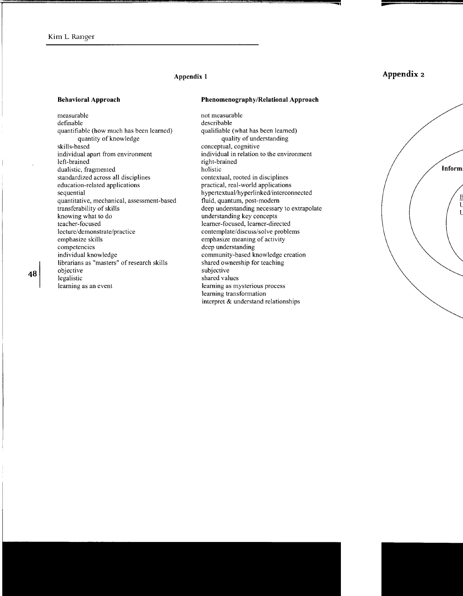#### **Appendix 1**

#### **Behavioral Approach**

measurable definable quantifiable (how much has been learned) quantity of knowledge skills-based individual apart from environment left-brained dualistic, fragmented standardized across all disciplines education-related applications sequential quantitative, mechanical, assessment-based transferability of skills knowing what to do teacher-focused lecture/demonstrate/practice emphasize skills competencies individual knowledge librarians as "masters" of research skills objective legalistic learning as an event

#### **Phenomenography/Relational Approach**

not measurable describable qualifiable (what has been learned) quality of understanding conceptual, cognitive individual in relation to the environment right-brained holistic contextual, rooted in disciplines practical, real-world applications hypertextual/hyperlinked/interconnected fluid, quantum, post-modem deep understanding necessary to extrapolate understanding key concepts learner-focused, learner-directed contemplate/discuss/solve problems emphasize meaning of activity deep understanding community-based knowledge creation shared ownership for teaching subjective shared values learning as mysterious process learning transformation interpret & understand relationships